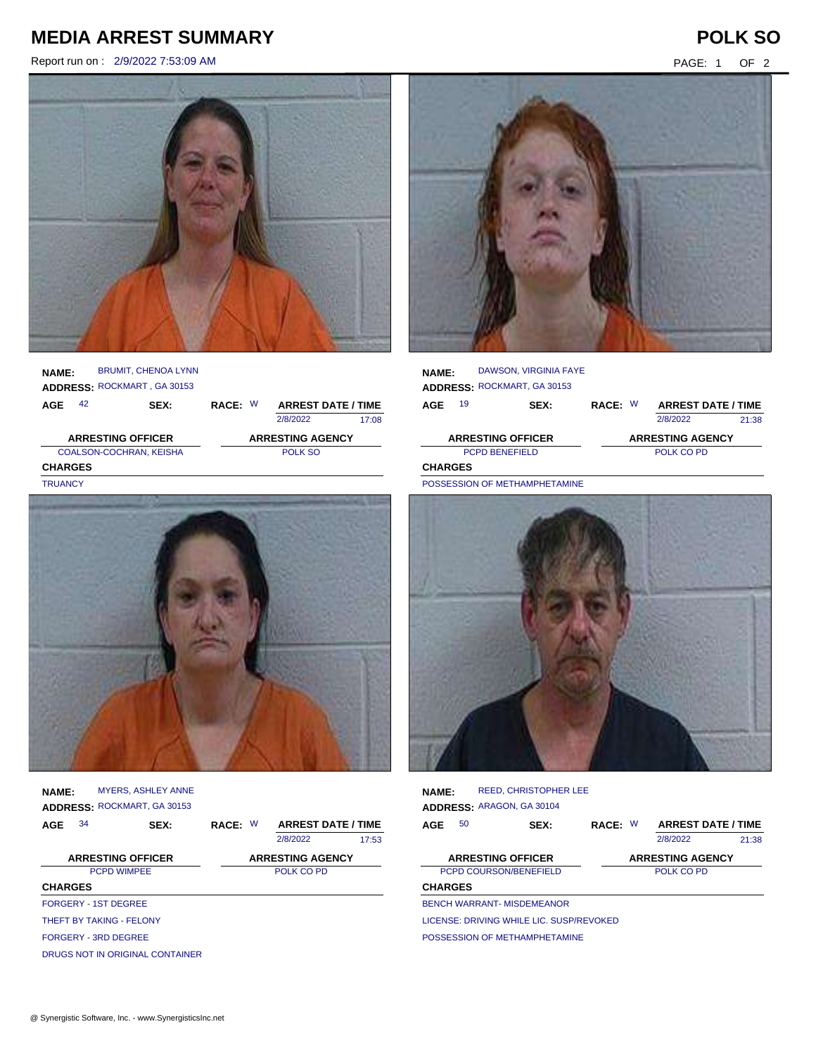## **MEDIA ARREST SUMMARY POLK SO**

Report run on : 2/9/2022 7:53:09 AM PAGE: 1 OF 2



**AGE NAME: ADDRESS:** ROCKMART , GA 30153 RACE: W BRUMIT, CHENOA LYNN 2/8/2022 COALSON-COCHRAN, KEISHA POLK SO **CHARGES** 17:08 **ARRESTING OFFICER ARRESTING AGENCY** SEX: RACE: W ARREST DATE / TIME **TRUANCY** 



**NAME: ADDRESS:** ROCKMART, GA 30153 MYERS, ASHLEY ANNE

| AGE                      | 34                              | SEX: | RACE: W<br><b>ARREST DATE / TIME</b> |            |       |
|--------------------------|---------------------------------|------|--------------------------------------|------------|-------|
|                          |                                 |      |                                      | 2/8/2022   | 17:53 |
| <b>ARRESTING OFFICER</b> | <b>ARRESTING AGENCY</b>         |      |                                      |            |       |
|                          | <b>PCPD WIMPEE</b>              |      |                                      | POLK CO PD |       |
| <b>CHARGES</b>           |                                 |      |                                      |            |       |
|                          | <b>FORGERY - 1ST DEGREE</b>     |      |                                      |            |       |
|                          | THEFT BY TAKING - FFI ONY       |      |                                      |            |       |
|                          | FORGERY - 3RD DEGREE            |      |                                      |            |       |
|                          | DRUGS NOT IN ORIGINAL CONTAINER |      |                                      |            |       |



| <b>NAME:</b>                |    | DAWSON, VIRGINIA FAYE         |            |  |                           |       |  |
|-----------------------------|----|-------------------------------|------------|--|---------------------------|-------|--|
| ADDRESS: ROCKMART, GA 30153 |    |                               |            |  |                           |       |  |
| AGE                         | 19 | <b>SEX:</b>                   | RACE: W    |  | <b>ARREST DATE / TIME</b> |       |  |
|                             |    |                               |            |  | 2/8/2022                  | 21:38 |  |
|                             |    | <b>ARRESTING OFFICER</b>      |            |  | <b>ARRESTING AGENCY</b>   |       |  |
| <b>PCPD BENEFIELD</b>       |    |                               | POLK CO PD |  |                           |       |  |
| <b>CHARGES</b>              |    |                               |            |  |                           |       |  |
|                             |    | DOCCECCION OF METHAMPHETAMINE |            |  |                           |       |  |



**NAME: ADDRESS:** ARAGON, GA 30104 REED, CHRISTOPHER LEE

| <b>AGE</b>     | 50                                       | SEX: | RACE: W | <b>ARREST DATE / TIME</b> |       |
|----------------|------------------------------------------|------|---------|---------------------------|-------|
|                |                                          |      |         | 2/8/2022                  | 21:38 |
|                | <b>ARRESTING OFFICER</b>                 |      |         | <b>ARRESTING AGENCY</b>   |       |
|                | PCPD COURSON/BENEFIELD                   |      |         | POLK CO PD                |       |
| <b>CHARGES</b> |                                          |      |         |                           |       |
|                | <b>BENCH WARRANT- MISDEMEANOR</b>        |      |         |                           |       |
|                | LICENSE: DRIVING WHILE LIC. SUSP/REVOKED |      |         |                           |       |

POSSESSION OF METHAMPHETAMINE